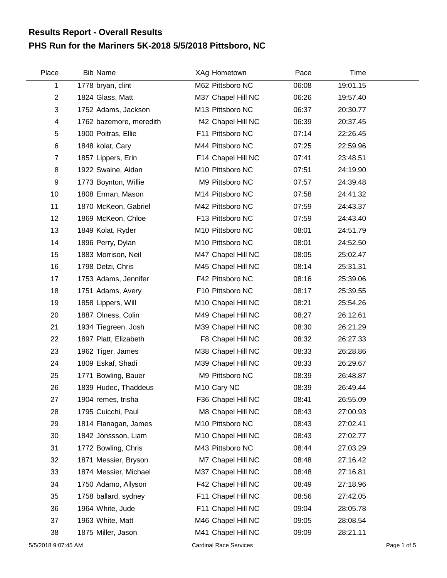## **PHS Run for the Mariners 5K-2018 5/5/2018 Pittsboro, NC Results Report - Overall Results**

| Place                   | <b>Bib Name</b>         | XAg Hometown            | Pace  | Time     |  |
|-------------------------|-------------------------|-------------------------|-------|----------|--|
| 1                       | 1778 bryan, clint       | M62 Pittsboro NC        | 06:08 | 19:01.15 |  |
| $\overline{2}$          | 1824 Glass, Matt        | M37 Chapel Hill NC      | 06:26 | 19:57.40 |  |
| 3                       | 1752 Adams, Jackson     | M13 Pittsboro NC        | 06:37 | 20:30.77 |  |
| $\overline{\mathbf{4}}$ | 1762 bazemore, meredith | f42 Chapel Hill NC      | 06:39 | 20:37.45 |  |
| 5                       | 1900 Poitras, Ellie     | F11 Pittsboro NC        | 07:14 | 22:26.45 |  |
| $\,6$                   | 1848 kolat, Cary        | M44 Pittsboro NC        | 07:25 | 22:59.96 |  |
| $\overline{7}$          | 1857 Lippers, Erin      | F14 Chapel Hill NC      | 07:41 | 23:48.51 |  |
| 8                       | 1922 Swaine, Aidan      | M10 Pittsboro NC        | 07:51 | 24:19.90 |  |
| 9                       | 1773 Boynton, Willie    | M9 Pittsboro NC         | 07:57 | 24:39.48 |  |
| 10                      | 1808 Erman, Mason       | M14 Pittsboro NC        | 07:58 | 24:41.32 |  |
| 11                      | 1870 McKeon, Gabriel    | M42 Pittsboro NC        | 07:59 | 24:43.37 |  |
| 12                      | 1869 McKeon, Chloe      | F13 Pittsboro NC        | 07:59 | 24:43.40 |  |
| 13                      | 1849 Kolat, Ryder       | M10 Pittsboro NC        | 08:01 | 24:51.79 |  |
| 14                      | 1896 Perry, Dylan       | M10 Pittsboro NC        | 08:01 | 24:52.50 |  |
| 15                      | 1883 Morrison, Neil     | M47 Chapel Hill NC      | 08:05 | 25:02.47 |  |
| 16                      | 1798 Detzi, Chris       | M45 Chapel Hill NC      | 08:14 | 25:31.31 |  |
| 17                      | 1753 Adams, Jennifer    | F42 Pittsboro NC        | 08:16 | 25:39.06 |  |
| 18                      | 1751 Adams, Avery       | F10 Pittsboro NC        | 08:17 | 25:39.55 |  |
| 19                      | 1858 Lippers, Will      | M10 Chapel Hill NC      | 08:21 | 25:54.26 |  |
| 20                      | 1887 Olness, Colin      | M49 Chapel Hill NC      | 08:27 | 26:12.61 |  |
| 21                      | 1934 Tiegreen, Josh     | M39 Chapel Hill NC      | 08:30 | 26:21.29 |  |
| 22                      | 1897 Platt, Elizabeth   | F8 Chapel Hill NC       | 08:32 | 26:27.33 |  |
| 23                      | 1962 Tiger, James       | M38 Chapel Hill NC      | 08:33 | 26:28.86 |  |
| 24                      | 1809 Eskaf, Shadi       | M39 Chapel Hill NC      | 08:33 | 26:29.67 |  |
| 25                      | 1771 Bowling, Bauer     | M9 Pittsboro NC         | 08:39 | 26:48.87 |  |
| 26                      | 1839 Hudec, Thaddeus    | M <sub>10</sub> Cary NC | 08:39 | 26:49.44 |  |
| 27                      | 1904 remes, trisha      | F36 Chapel Hill NC      | 08:41 | 26:55.09 |  |
| 28                      | 1795 Cuicchi, Paul      | M8 Chapel Hill NC       | 08:43 | 27:00.93 |  |
| 29                      | 1814 Flanagan, James    | M10 Pittsboro NC        | 08:43 | 27:02.41 |  |
| 30                      | 1842 Jonssson, Liam     | M10 Chapel Hill NC      | 08:43 | 27:02.77 |  |
| 31                      | 1772 Bowling, Chris     | M43 Pittsboro NC        | 08:44 | 27:03.29 |  |
| 32                      | 1871 Messier, Bryson    | M7 Chapel Hill NC       | 08:48 | 27:16.42 |  |
| 33                      | 1874 Messier, Michael   | M37 Chapel Hill NC      | 08:48 | 27:16.81 |  |
| 34                      | 1750 Adamo, Allyson     | F42 Chapel Hill NC      | 08:49 | 27:18.96 |  |
| 35                      | 1758 ballard, sydney    | F11 Chapel Hill NC      | 08:56 | 27:42.05 |  |
| 36                      | 1964 White, Jude        | F11 Chapel Hill NC      | 09:04 | 28:05.78 |  |
| 37                      | 1963 White, Matt        | M46 Chapel Hill NC      | 09:05 | 28:08.54 |  |
| 38                      | 1875 Miller, Jason      | M41 Chapel Hill NC      | 09:09 | 28:21.11 |  |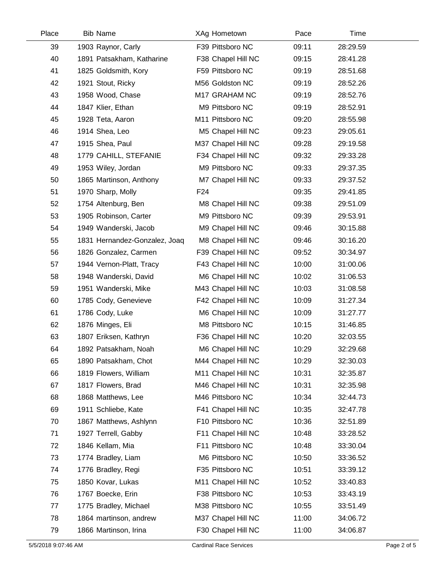| Place | <b>Bib Name</b>               | XAg Hometown       | Pace  | Time     |  |
|-------|-------------------------------|--------------------|-------|----------|--|
| 39    | 1903 Raynor, Carly            | F39 Pittsboro NC   | 09:11 | 28:29.59 |  |
| 40    | 1891 Patsakham, Katharine     | F38 Chapel Hill NC | 09:15 | 28:41.28 |  |
| 41    | 1825 Goldsmith, Kory          | F59 Pittsboro NC   | 09:19 | 28:51.68 |  |
| 42    | 1921 Stout, Ricky             | M56 Goldston NC    | 09:19 | 28:52.26 |  |
| 43    | 1958 Wood, Chase              | M17 GRAHAM NC      | 09:19 | 28:52.76 |  |
| 44    | 1847 Klier, Ethan             | M9 Pittsboro NC    | 09:19 | 28:52.91 |  |
| 45    | 1928 Teta, Aaron              | M11 Pittsboro NC   | 09:20 | 28:55.98 |  |
| 46    | 1914 Shea, Leo                | M5 Chapel Hill NC  | 09:23 | 29:05.61 |  |
| 47    | 1915 Shea, Paul               | M37 Chapel Hill NC | 09:28 | 29:19.58 |  |
| 48    | 1779 CAHILL, STEFANIE         | F34 Chapel Hill NC | 09:32 | 29:33.28 |  |
| 49    | 1953 Wiley, Jordan            | M9 Pittsboro NC    | 09:33 | 29:37.35 |  |
| 50    | 1865 Martinson, Anthony       | M7 Chapel Hill NC  | 09:33 | 29:37.52 |  |
| 51    | 1970 Sharp, Molly             | F <sub>24</sub>    | 09:35 | 29:41.85 |  |
| 52    | 1754 Altenburg, Ben           | M8 Chapel Hill NC  | 09:38 | 29:51.09 |  |
| 53    | 1905 Robinson, Carter         | M9 Pittsboro NC    | 09:39 | 29:53.91 |  |
| 54    | 1949 Wanderski, Jacob         | M9 Chapel Hill NC  | 09:46 | 30:15.88 |  |
| 55    | 1831 Hernandez-Gonzalez, Joaq | M8 Chapel Hill NC  | 09:46 | 30:16.20 |  |
| 56    | 1826 Gonzalez, Carmen         | F39 Chapel Hill NC | 09:52 | 30:34.97 |  |
| 57    | 1944 Vernon-Platt, Tracy      | F43 Chapel Hill NC | 10:00 | 31:00.06 |  |
| 58    | 1948 Wanderski, David         | M6 Chapel Hill NC  | 10:02 | 31:06.53 |  |
| 59    | 1951 Wanderski, Mike          | M43 Chapel Hill NC | 10:03 | 31:08.58 |  |
| 60    | 1785 Cody, Genevieve          | F42 Chapel Hill NC | 10:09 | 31:27.34 |  |
| 61    | 1786 Cody, Luke               | M6 Chapel Hill NC  | 10:09 | 31:27.77 |  |
| 62    | 1876 Minges, Eli              | M8 Pittsboro NC    | 10:15 | 31:46.85 |  |
| 63    | 1807 Eriksen, Kathryn         | F36 Chapel Hill NC | 10:20 | 32:03.55 |  |
| 64    | 1892 Patsakham, Noah          | M6 Chapel Hill NC  | 10:29 | 32:29.68 |  |
| 65    | 1890 Patsakham, Chot          | M44 Chapel Hill NC | 10:29 | 32:30.03 |  |
| 66    | 1819 Flowers, William         | M11 Chapel Hill NC | 10:31 | 32:35.87 |  |
| 67    | 1817 Flowers, Brad            | M46 Chapel Hill NC | 10:31 | 32:35.98 |  |
| 68    | 1868 Matthews, Lee            | M46 Pittsboro NC   | 10:34 | 32:44.73 |  |
| 69    | 1911 Schliebe, Kate           | F41 Chapel Hill NC | 10:35 | 32:47.78 |  |
| 70    | 1867 Matthews, Ashlynn        | F10 Pittsboro NC   | 10:36 | 32:51.89 |  |
| 71    | 1927 Terrell, Gabby           | F11 Chapel Hill NC | 10:48 | 33:28.52 |  |
| 72    | 1846 Kellam, Mia              | F11 Pittsboro NC   | 10:48 | 33:30.04 |  |
| 73    | 1774 Bradley, Liam            | M6 Pittsboro NC    | 10:50 | 33:36.52 |  |
| 74    | 1776 Bradley, Regi            | F35 Pittsboro NC   | 10:51 | 33:39.12 |  |
| 75    | 1850 Kovar, Lukas             | M11 Chapel Hill NC | 10:52 | 33:40.83 |  |
| 76    | 1767 Boecke, Erin             | F38 Pittsboro NC   | 10:53 | 33:43.19 |  |
| 77    | 1775 Bradley, Michael         | M38 Pittsboro NC   | 10:55 | 33:51.49 |  |
| 78    | 1864 martinson, andrew        | M37 Chapel Hill NC | 11:00 | 34:06.72 |  |
| 79    | 1866 Martinson, Irina         | F30 Chapel Hill NC | 11:00 | 34:06.87 |  |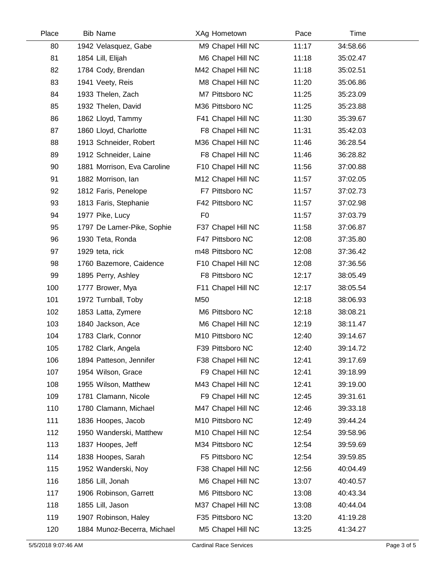| Place | <b>Bib Name</b>             | XAg Hometown       | Pace  | Time     |  |
|-------|-----------------------------|--------------------|-------|----------|--|
| 80    | 1942 Velasquez, Gabe        | M9 Chapel Hill NC  | 11:17 | 34:58.66 |  |
| 81    | 1854 Lill, Elijah           | M6 Chapel Hill NC  | 11:18 | 35:02.47 |  |
| 82    | 1784 Cody, Brendan          | M42 Chapel Hill NC | 11:18 | 35:02.51 |  |
| 83    | 1941 Veety, Reis            | M8 Chapel Hill NC  | 11:20 | 35:06.86 |  |
| 84    | 1933 Thelen, Zach           | M7 Pittsboro NC    | 11:25 | 35:23.09 |  |
| 85    | 1932 Thelen, David          | M36 Pittsboro NC   | 11:25 | 35:23.88 |  |
| 86    | 1862 Lloyd, Tammy           | F41 Chapel Hill NC | 11:30 | 35:39.67 |  |
| 87    | 1860 Lloyd, Charlotte       | F8 Chapel Hill NC  | 11:31 | 35:42.03 |  |
| 88    | 1913 Schneider, Robert      | M36 Chapel Hill NC | 11:46 | 36:28.54 |  |
| 89    | 1912 Schneider, Laine       | F8 Chapel Hill NC  | 11:46 | 36:28.82 |  |
| 90    | 1881 Morrison, Eva Caroline | F10 Chapel Hill NC | 11:56 | 37:00.88 |  |
| 91    | 1882 Morrison, Ian          | M12 Chapel Hill NC | 11:57 | 37:02.05 |  |
| 92    | 1812 Faris, Penelope        | F7 Pittsboro NC    | 11:57 | 37:02.73 |  |
| 93    | 1813 Faris, Stephanie       | F42 Pittsboro NC   | 11:57 | 37:02.98 |  |
| 94    | 1977 Pike, Lucy             | F <sub>0</sub>     | 11:57 | 37:03.79 |  |
| 95    | 1797 De Lamer-Pike, Sophie  | F37 Chapel Hill NC | 11:58 | 37:06.87 |  |
| 96    | 1930 Teta, Ronda            | F47 Pittsboro NC   | 12:08 | 37:35.80 |  |
| 97    | 1929 teta, rick             | m48 Pittsboro NC   | 12:08 | 37:36.42 |  |
| 98    | 1760 Bazemore, Caidence     | F10 Chapel Hill NC | 12:08 | 37:36.56 |  |
| 99    | 1895 Perry, Ashley          | F8 Pittsboro NC    | 12:17 | 38:05.49 |  |
| 100   | 1777 Brower, Mya            | F11 Chapel Hill NC | 12:17 | 38:05.54 |  |
| 101   | 1972 Turnball, Toby         | M50                | 12:18 | 38:06.93 |  |
| 102   | 1853 Latta, Zymere          | M6 Pittsboro NC    | 12:18 | 38:08.21 |  |
| 103   | 1840 Jackson, Ace           | M6 Chapel Hill NC  | 12:19 | 38:11.47 |  |
| 104   | 1783 Clark, Connor          | M10 Pittsboro NC   | 12:40 | 39:14.67 |  |
| 105   | 1782 Clark, Angela          | F39 Pittsboro NC   | 12:40 | 39:14.72 |  |
| 106   | 1894 Patteson, Jennifer     | F38 Chapel Hill NC | 12:41 | 39:17.69 |  |
| 107   | 1954 Wilson, Grace          | F9 Chapel Hill NC  | 12:41 | 39:18.99 |  |
| 108   | 1955 Wilson, Matthew        | M43 Chapel Hill NC | 12:41 | 39:19.00 |  |
| 109   | 1781 Clamann, Nicole        | F9 Chapel Hill NC  | 12:45 | 39:31.61 |  |
| 110   | 1780 Clamann, Michael       | M47 Chapel Hill NC | 12:46 | 39:33.18 |  |
| 111   | 1836 Hoopes, Jacob          | M10 Pittsboro NC   | 12:49 | 39:44.24 |  |
| 112   | 1950 Wanderski, Matthew     | M10 Chapel Hill NC | 12:54 | 39:58.96 |  |
| 113   | 1837 Hoopes, Jeff           | M34 Pittsboro NC   | 12:54 | 39:59.69 |  |
| 114   | 1838 Hoopes, Sarah          | F5 Pittsboro NC    | 12:54 | 39:59.85 |  |
| 115   | 1952 Wanderski, Noy         | F38 Chapel Hill NC | 12:56 | 40:04.49 |  |
| 116   | 1856 Lill, Jonah            | M6 Chapel Hill NC  | 13:07 | 40:40.57 |  |
| 117   | 1906 Robinson, Garrett      | M6 Pittsboro NC    | 13:08 | 40:43.34 |  |
| 118   | 1855 Lill, Jason            | M37 Chapel Hill NC | 13:08 | 40:44.04 |  |
| 119   | 1907 Robinson, Haley        | F35 Pittsboro NC   | 13:20 | 41:19.28 |  |
| 120   | 1884 Munoz-Becerra, Michael | M5 Chapel Hill NC  | 13:25 | 41:34.27 |  |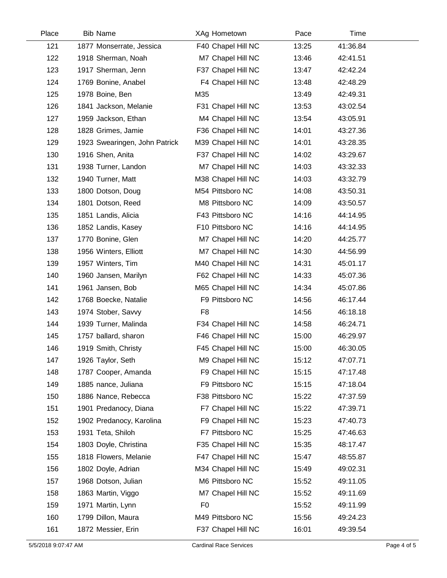| Place | <b>Bib Name</b>               | XAg Hometown       | Pace  | Time     |  |
|-------|-------------------------------|--------------------|-------|----------|--|
| 121   | 1877 Monserrate, Jessica      | F40 Chapel Hill NC | 13:25 | 41:36.84 |  |
| 122   | 1918 Sherman, Noah            | M7 Chapel Hill NC  | 13:46 | 42:41.51 |  |
| 123   | 1917 Sherman, Jenn            | F37 Chapel Hill NC | 13:47 | 42:42.24 |  |
| 124   | 1769 Bonine, Anabel           | F4 Chapel Hill NC  | 13:48 | 42:48.29 |  |
| 125   | 1978 Boine, Ben               | M35                | 13:49 | 42:49.31 |  |
| 126   | 1841 Jackson, Melanie         | F31 Chapel Hill NC | 13:53 | 43:02.54 |  |
| 127   | 1959 Jackson, Ethan           | M4 Chapel Hill NC  | 13:54 | 43:05.91 |  |
| 128   | 1828 Grimes, Jamie            | F36 Chapel Hill NC | 14:01 | 43:27.36 |  |
| 129   | 1923 Swearingen, John Patrick | M39 Chapel Hill NC | 14:01 | 43:28.35 |  |
| 130   | 1916 Shen, Anita              | F37 Chapel Hill NC | 14:02 | 43:29.67 |  |
| 131   | 1938 Turner, Landon           | M7 Chapel Hill NC  | 14:03 | 43:32.33 |  |
| 132   | 1940 Turner, Matt             | M38 Chapel Hill NC | 14:03 | 43:32.79 |  |
| 133   | 1800 Dotson, Doug             | M54 Pittsboro NC   | 14:08 | 43:50.31 |  |
| 134   | 1801 Dotson, Reed             | M8 Pittsboro NC    | 14:09 | 43:50.57 |  |
| 135   | 1851 Landis, Alicia           | F43 Pittsboro NC   | 14:16 | 44:14.95 |  |
| 136   | 1852 Landis, Kasey            | F10 Pittsboro NC   | 14:16 | 44:14.95 |  |
| 137   | 1770 Bonine, Glen             | M7 Chapel Hill NC  | 14:20 | 44:25.77 |  |
| 138   | 1956 Winters, Elliott         | M7 Chapel Hill NC  | 14:30 | 44:56.99 |  |
| 139   | 1957 Winters, Tim             | M40 Chapel Hill NC | 14:31 | 45:01.17 |  |
| 140   | 1960 Jansen, Marilyn          | F62 Chapel Hill NC | 14:33 | 45:07.36 |  |
| 141   | 1961 Jansen, Bob              | M65 Chapel Hill NC | 14:34 | 45:07.86 |  |
| 142   | 1768 Boecke, Natalie          | F9 Pittsboro NC    | 14:56 | 46:17.44 |  |
| 143   | 1974 Stober, Savvy            | F <sub>8</sub>     | 14:56 | 46:18.18 |  |
| 144   | 1939 Turner, Malinda          | F34 Chapel Hill NC | 14:58 | 46:24.71 |  |
| 145   | 1757 ballard, sharon          | F46 Chapel Hill NC | 15:00 | 46:29.97 |  |
| 146   | 1919 Smith, Christy           | F45 Chapel Hill NC | 15:00 | 46:30.05 |  |
| 147   | 1926 Taylor, Seth             | M9 Chapel Hill NC  | 15:12 | 47:07.71 |  |
| 148   | 1787 Cooper, Amanda           | F9 Chapel Hill NC  | 15:15 | 47:17.48 |  |
| 149   | 1885 nance, Juliana           | F9 Pittsboro NC    | 15:15 | 47:18.04 |  |
| 150   | 1886 Nance, Rebecca           | F38 Pittsboro NC   | 15:22 | 47:37.59 |  |
| 151   | 1901 Predanocy, Diana         | F7 Chapel Hill NC  | 15:22 | 47:39.71 |  |
| 152   | 1902 Predanocy, Karolina      | F9 Chapel Hill NC  | 15:23 | 47:40.73 |  |
| 153   | 1931 Teta, Shiloh             | F7 Pittsboro NC    | 15:25 | 47:46.63 |  |
| 154   | 1803 Doyle, Christina         | F35 Chapel Hill NC | 15:35 | 48:17.47 |  |
| 155   | 1818 Flowers, Melanie         | F47 Chapel Hill NC | 15:47 | 48:55.87 |  |
| 156   | 1802 Doyle, Adrian            | M34 Chapel Hill NC | 15:49 | 49:02.31 |  |
| 157   | 1968 Dotson, Julian           | M6 Pittsboro NC    | 15:52 | 49:11.05 |  |
| 158   | 1863 Martin, Viggo            | M7 Chapel Hill NC  | 15:52 | 49:11.69 |  |
| 159   | 1971 Martin, Lynn             | F <sub>0</sub>     | 15:52 | 49:11.99 |  |
| 160   | 1799 Dillon, Maura            | M49 Pittsboro NC   | 15:56 | 49:24.23 |  |
| 161   | 1872 Messier, Erin            | F37 Chapel Hill NC | 16:01 | 49:39.54 |  |